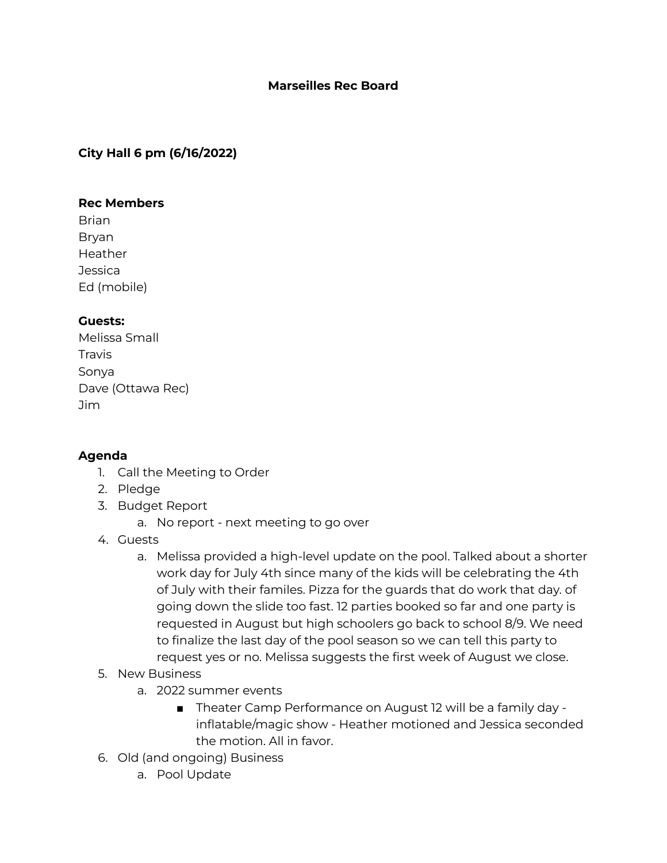### **Marseilles Rec Board**

## **City Hall 6 pm (6/16/2022)**

#### **Rec Members**

Brian Bryan Heather **Jessica** Ed (mobile)

# **Guests:**

Melissa Small Travis Sonya Dave (Ottawa Rec) Jim

### **Agenda**

- 1. Call the Meeting to Order
- 2. Pledge
- 3. Budget Report
	- a. No report next meeting to go over
- 4. Guests
	- a. Melissa provided a high-level update on the pool. Talked about a shorter work day for July 4th since many of the kids will be celebrating the 4th of July with their familes. Pizza for the guards that do work that day. of going down the slide too fast. 12 parties booked so far and one party is requested in August but high schoolers go back to school 8/9. We need to finalize the last day of the pool season so we can tell this party to request yes or no. Melissa suggests the first week of August we close.
- 5. New Business
	- a. 2022 summer events
		- Theater Camp Performance on August 12 will be a family day inflatable/magic show - Heather motioned and Jessica seconded the motion. All in favor.
- 6. Old (and ongoing) Business
	- a. Pool Update